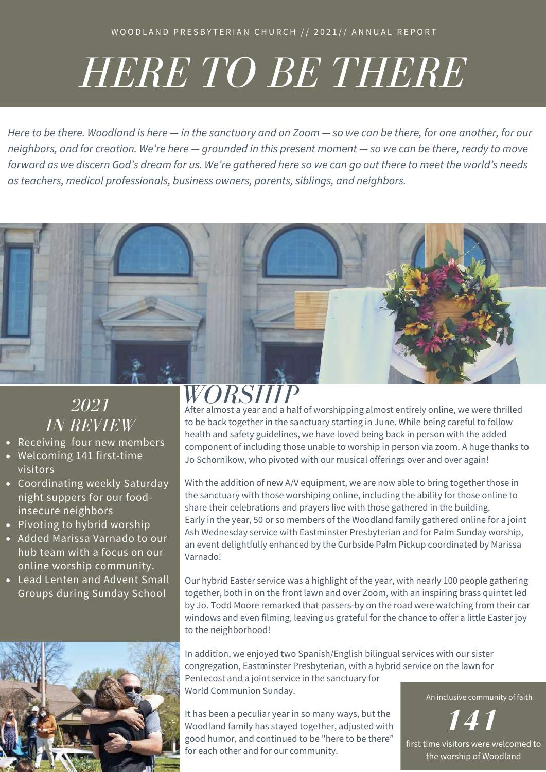# *HERE TO BE THERE*

Here to be there. Woodland is here  $-$  in the sanctuary and on Zoom  $-$  so we can be there, for one another, for our neighbors, and for creation. We're here - grounded in this present moment - so we can be there, ready to move forward as we discern God's dream for us. We're gathered here so we can go out there to meet the world's needs *as teachers, medical professionals, business owners, parents, siblings, and neighbors.*



### *2021 IN REVIEW*

- Receiving four new members
- Welcoming 141 first-time visitors
- Coordinating weekly Saturday night suppers for our foodinsecure neighbors
- Pivoting to hybrid worship
- Added Marissa Varnado to our hub team with a focus on our online worship community.
- Lead Lenten and Advent Small Groups during Sunday School



*WORSHIP* After almost a year and a half of worshipping almost entirely online, we were thrilled to be back together in the sanctuary starting in June. While being careful to follow health and safety guidelines, we have loved being back in person with the added component of including those unable to worship in person via zoom. A huge thanks to Jo Schornikow, who pivoted with our musical offerings over and over again!

With the addition of new A/V equipment, we are now able to bring together those in the sanctuary with those worshiping online, including the ability for those online to share their celebrations and prayers live with those gathered in the building. Early in the year, 50 or so members of the Woodland family gathered online for a joint Ash Wednesday service with Eastminster Presbyterian and for Palm Sunday worship, an event delightfully enhanced by the Curbside Palm Pickup coordinated by Marissa Varnado!

Our hybrid Easter service was a highlight of the year, with nearly 100 people gathering together, both in on the front lawn and over Zoom, with an inspiring brass quintet led by Jo. Todd Moore remarked that passers-by on the road were watching from their car windows and even filming, leaving us grateful for the chance to offer a little Easter joy to the neighborhood!

In addition, we enjoyed two Spanish/English bilingual services with our sister congregation, Eastminster Presbyterian, with a hybrid service on the lawn for Pentecost and a joint service in the sanctuary for World Communion Sunday.

It has been a peculiar year in so many ways, but the Woodland family has stayed together, adjusted with good humor, and continued to be "here to be there" for each other and for our community.

An inclusive community of faith

*141* first time visitors were welcomed to the worship of Woodland